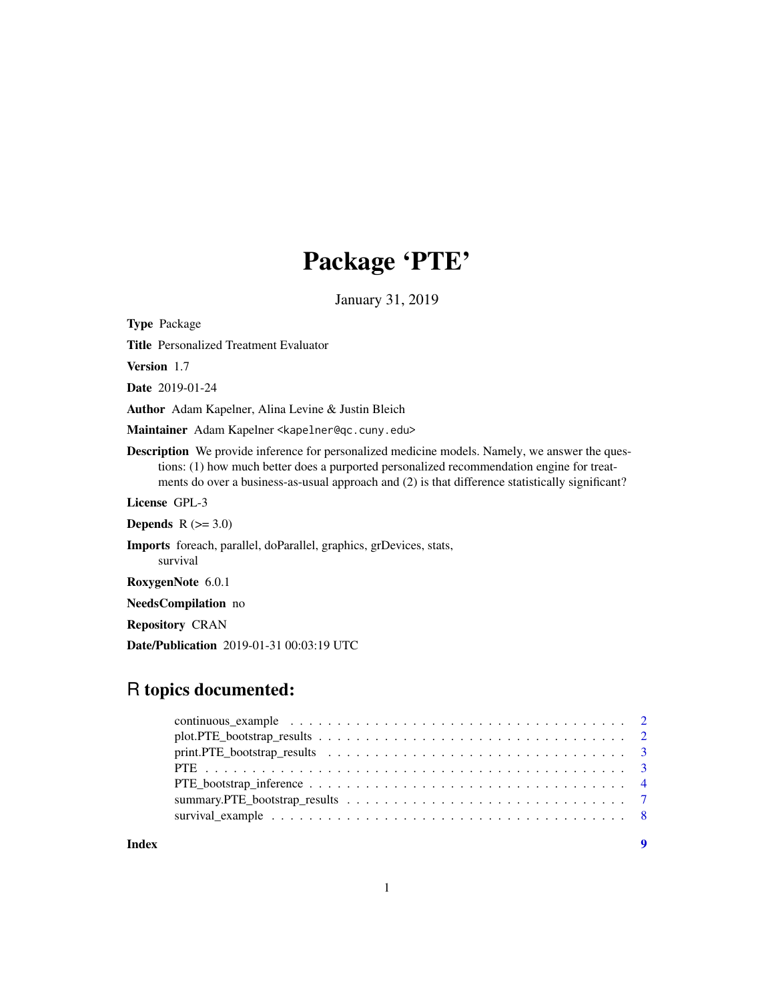# Package 'PTE'

January 31, 2019

Type Package

Title Personalized Treatment Evaluator

Version 1.7

Date 2019-01-24

Author Adam Kapelner, Alina Levine & Justin Bleich

Maintainer Adam Kapelner <kapelner@qc.cuny.edu>

Description We provide inference for personalized medicine models. Namely, we answer the questions: (1) how much better does a purported personalized recommendation engine for treatments do over a business-as-usual approach and (2) is that difference statistically significant?

License GPL-3

Depends  $R$  ( $>= 3.0$ )

Imports foreach, parallel, doParallel, graphics, grDevices, stats, survival

RoxygenNote 6.0.1

NeedsCompilation no

Repository CRAN

Date/Publication 2019-01-31 00:03:19 UTC

# R topics documented:

**Index** [9](#page-8-0)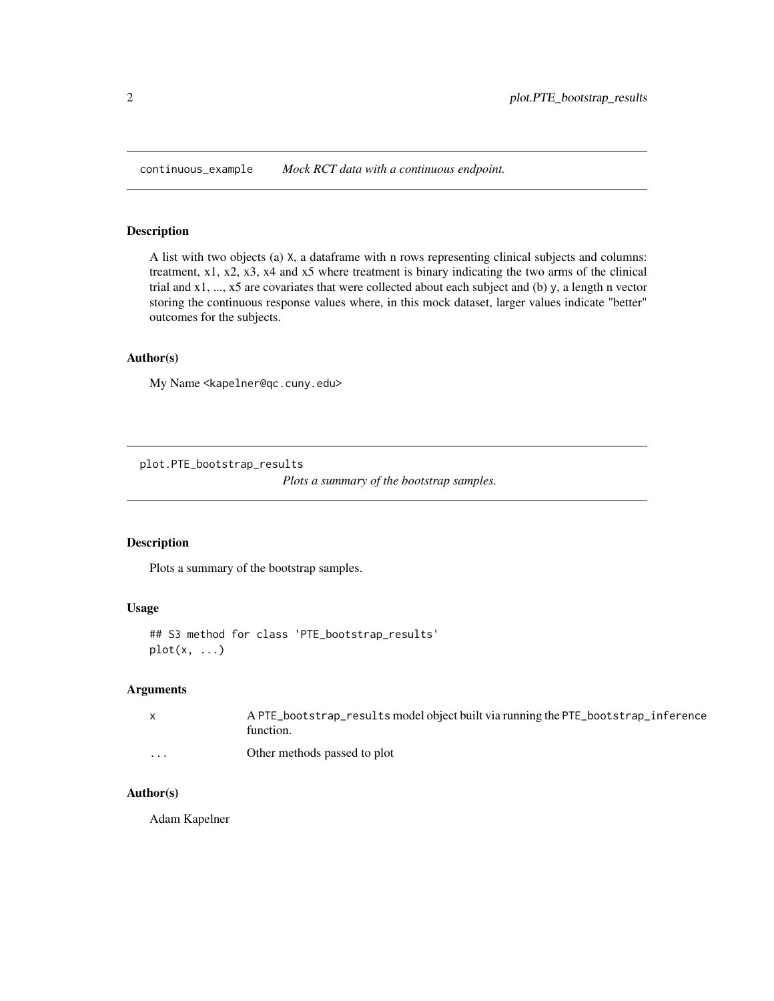<span id="page-1-0"></span>continuous\_example *Mock RCT data with a continuous endpoint.*

# Description

A list with two objects (a) X, a dataframe with n rows representing clinical subjects and columns: treatment, x1, x2, x3, x4 and x5 where treatment is binary indicating the two arms of the clinical trial and x1, ..., x5 are covariates that were collected about each subject and (b) y, a length n vector storing the continuous response values where, in this mock dataset, larger values indicate "better" outcomes for the subjects.

# Author(s)

My Name <kapelner@qc.cuny.edu>

plot.PTE\_bootstrap\_results

*Plots a summary of the bootstrap samples.*

# Description

Plots a summary of the bootstrap samples.

# Usage

```
## S3 method for class 'PTE_bootstrap_results'
plot(x, \ldots)
```
# Arguments

| $\mathbf{x}$ | A PTE_bootstrap_results model object built via running the PTE_bootstrap_inference<br>function. |
|--------------|-------------------------------------------------------------------------------------------------|
| .            | Other methods passed to plot                                                                    |

# Author(s)

Adam Kapelner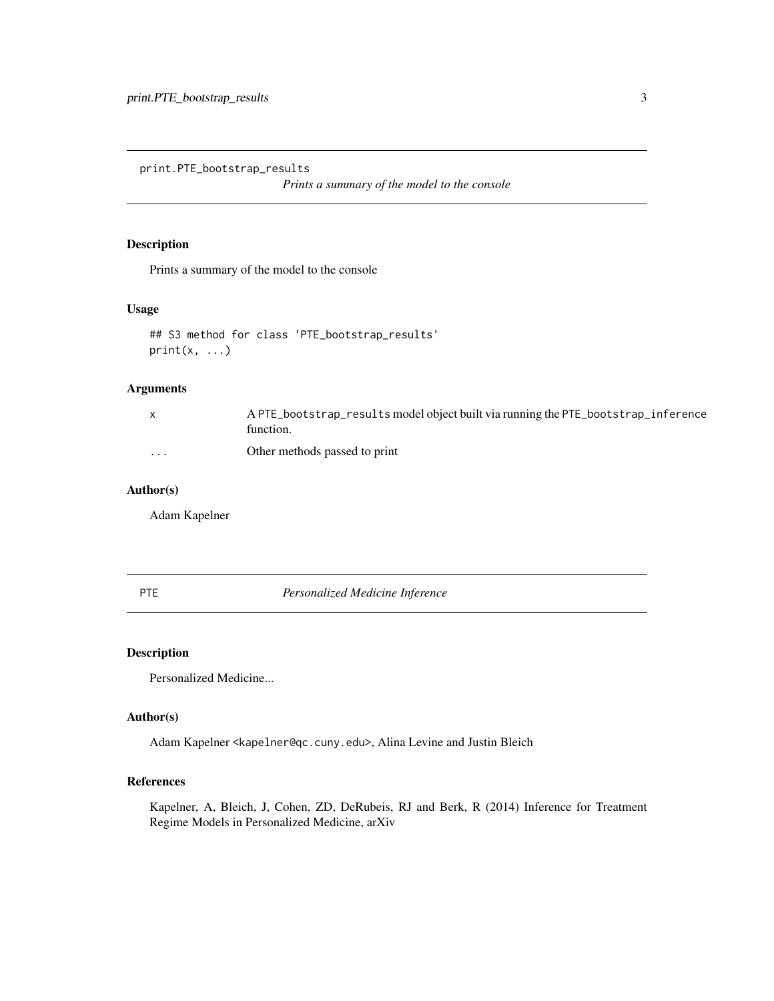<span id="page-2-0"></span>print.PTE\_bootstrap\_results

*Prints a summary of the model to the console*

# Description

Prints a summary of the model to the console

# Usage

```
## S3 method for class 'PTE_bootstrap_results'
print(x, \ldots)
```
# Arguments

|                         | A PTE_bootstrap_results model object built via running the PTE_bootstrap_inference<br>tunction. |
|-------------------------|-------------------------------------------------------------------------------------------------|
| $\cdot$ $\cdot$ $\cdot$ | Other methods passed to print                                                                   |

# Author(s)

Adam Kapelner

PTE *Personalized Medicine Inference*

# Description

Personalized Medicine...

# Author(s)

Adam Kapelner <kapelner@qc.cuny.edu>, Alina Levine and Justin Bleich

# References

Kapelner, A, Bleich, J, Cohen, ZD, DeRubeis, RJ and Berk, R (2014) Inference for Treatment Regime Models in Personalized Medicine, arXiv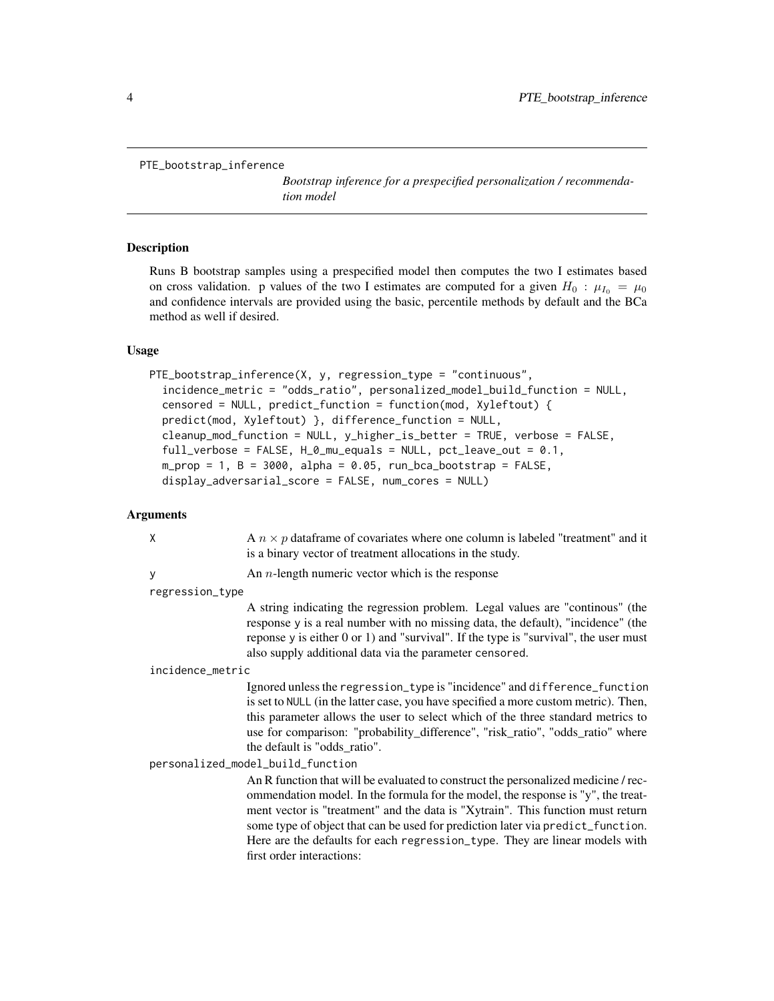<span id="page-3-0"></span>PTE\_bootstrap\_inference

*Bootstrap inference for a prespecified personalization / recommendation model*

# Description

Runs B bootstrap samples using a prespecified model then computes the two I estimates based on cross validation. p values of the two I estimates are computed for a given  $H_0$ :  $\mu_{I_0} = \mu_0$ and confidence intervals are provided using the basic, percentile methods by default and the BCa method as well if desired.

# Usage

```
PTE_bootstrap_inference(X, y, regression_type = "continuous",
  incidence_metric = "odds_ratio", personalized_model_build_function = NULL,
  censored = NULL, predict_function = function(mod, Xyleftout) {
  predict(mod, Xyleftout) }, difference_function = NULL,
  cleanup_mod_function = NULL, y_higher_is_better = TRUE, verbose = FALSE,
  full_verbose = FALSE, H_0_mu_equals = NULL, pct_leave_out = 0.1,
  m\_prop = 1, B = 3000, alpha = 0.05, run_bca_bootstrap = FALSE,
  display_adversarial_score = FALSE, num_cores = NULL)
```
# Arguments

| X                                 | A $n \times p$ data frame of covariates where one column is labeled "treatment" and it<br>is a binary vector of treatment allocations in the study.                                                                                                                                                                                                                                                                                                      |  |
|-----------------------------------|----------------------------------------------------------------------------------------------------------------------------------------------------------------------------------------------------------------------------------------------------------------------------------------------------------------------------------------------------------------------------------------------------------------------------------------------------------|--|
| У                                 | An $n$ -length numeric vector which is the response                                                                                                                                                                                                                                                                                                                                                                                                      |  |
| regression_type                   |                                                                                                                                                                                                                                                                                                                                                                                                                                                          |  |
|                                   | A string indicating the regression problem. Legal values are "continous" (the<br>response y is a real number with no missing data, the default), "incidence" (the<br>reponse y is either 0 or 1) and "survival". If the type is "survival", the user must<br>also supply additional data via the parameter censored.                                                                                                                                     |  |
| incidence_metric                  |                                                                                                                                                                                                                                                                                                                                                                                                                                                          |  |
|                                   | Ignored unless the regression_type is "incidence" and difference_function<br>is set to NULL (in the latter case, you have specified a more custom metric). Then,<br>this parameter allows the user to select which of the three standard metrics to<br>use for comparison: "probability_difference", "risk_ratio", "odds_ratio" where<br>the default is "odds ratio".                                                                                    |  |
| personalized_model_build_function |                                                                                                                                                                                                                                                                                                                                                                                                                                                          |  |
|                                   | An R function that will be evaluated to construct the personalized medicine / rec-<br>ommendation model. In the formula for the model, the response is "y", the treat-<br>ment vector is "treatment" and the data is "Xytrain". This function must return<br>some type of object that can be used for prediction later via predict_function.<br>Here are the defaults for each regression_type. They are linear models with<br>first order interactions: |  |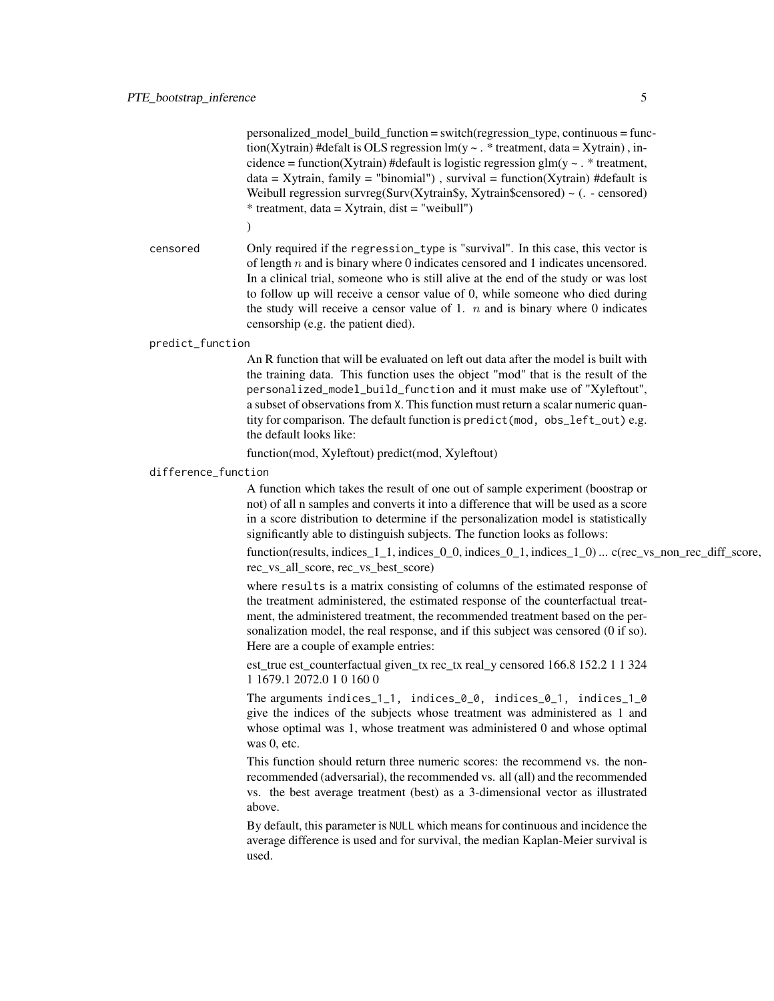personalized\_model\_build\_function = switch(regression\_type, continuous = function(Xytrain) #defalt is OLS regression  $lm(y \sim .$  \* treatment, data = Xytrain), incidence = function(Xytrain) #default is logistic regression glm(y  $\sim$  . \* treatment,  $data = Xytrain$ , family = "binomial"), survival = function(Xytrain) #default is Weibull regression survreg(Surv(Xytrain\$y, Xytrain\$censored)  $\sim$  (. - censored) \* treatment, data = Xytrain, dist = "weibull")

 $\lambda$ 

censored Only required if the regression\_type is "survival". In this case, this vector is of length n and is binary where 0 indicates censored and 1 indicates uncensored. In a clinical trial, someone who is still alive at the end of the study or was lost to follow up will receive a censor value of 0, while someone who died during the study will receive a censor value of 1.  $n$  and is binary where 0 indicates censorship (e.g. the patient died).

#### predict\_function

An R function that will be evaluated on left out data after the model is built with the training data. This function uses the object "mod" that is the result of the personalized\_model\_build\_function and it must make use of "Xyleftout", a subset of observations from X. This function must return a scalar numeric quantity for comparison. The default function is predict(mod, obs\_left\_out) e.g. the default looks like:

function(mod, Xyleftout) predict(mod, Xyleftout)

# difference\_function

A function which takes the result of one out of sample experiment (boostrap or not) of all n samples and converts it into a difference that will be used as a score in a score distribution to determine if the personalization model is statistically significantly able to distinguish subjects. The function looks as follows:

function(results, indices\_1\_1, indices\_0\_0, indices\_0\_1, indices\_1\_0) ... c(rec\_vs\_non\_rec\_diff\_score, rec\_vs\_all\_score, rec\_vs\_best\_score)

where results is a matrix consisting of columns of the estimated response of the treatment administered, the estimated response of the counterfactual treatment, the administered treatment, the recommended treatment based on the personalization model, the real response, and if this subject was censored (0 if so). Here are a couple of example entries:

est\_true est\_counterfactual given\_tx rec\_tx real\_y censored 166.8 152.2 1 1 324 1 1679.1 2072.0 1 0 160 0

The arguments indices\_1\_1, indices\_0\_0, indices\_0\_1, indices\_1\_0 give the indices of the subjects whose treatment was administered as 1 and whose optimal was 1, whose treatment was administered 0 and whose optimal was 0, etc.

This function should return three numeric scores: the recommend vs. the nonrecommended (adversarial), the recommended vs. all (all) and the recommended vs. the best average treatment (best) as a 3-dimensional vector as illustrated above.

By default, this parameter is NULL which means for continuous and incidence the average difference is used and for survival, the median Kaplan-Meier survival is used.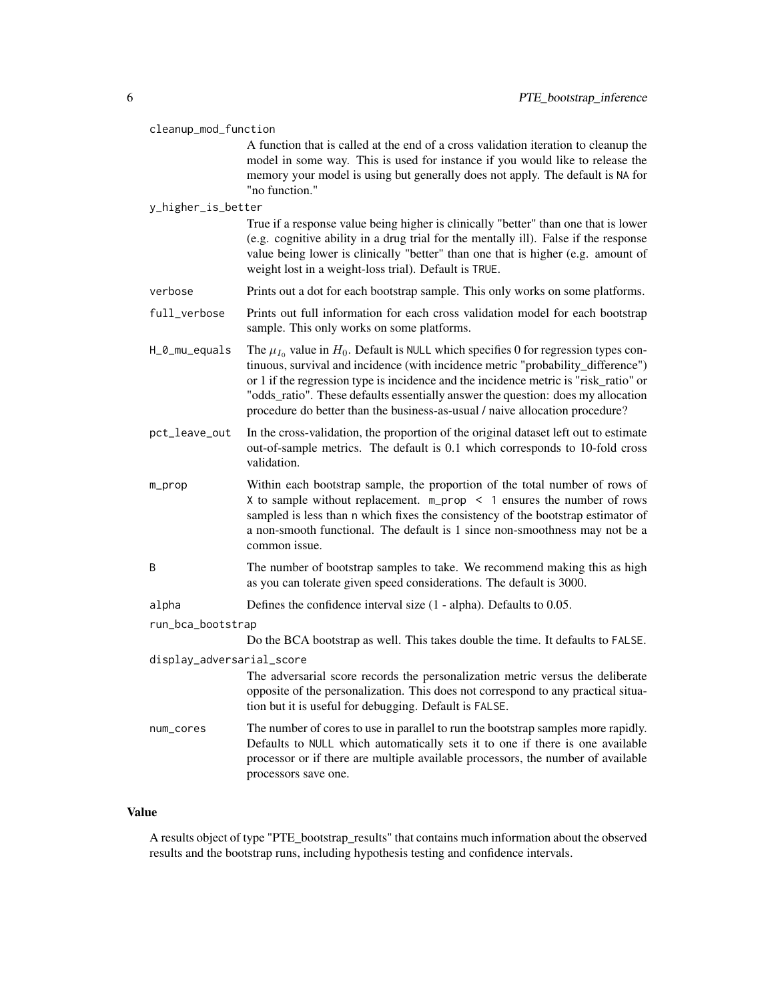#### cleanup\_mod\_function

A function that is called at the end of a cross validation iteration to cleanup the model in some way. This is used for instance if you would like to release the memory your model is using but generally does not apply. The default is NA for "no function."

# y\_higher\_is\_better

True if a response value being higher is clinically "better" than one that is lower (e.g. cognitive ability in a drug trial for the mentally ill). False if the response value being lower is clinically "better" than one that is higher (e.g. amount of weight lost in a weight-loss trial). Default is TRUE.

- verbose Prints out a dot for each bootstrap sample. This only works on some platforms.
- full\_verbose Prints out full information for each cross validation model for each bootstrap sample. This only works on some platforms.
- H\_0\_mu\_equals The  $\mu_{I_0}$  value in  $H_0$ . Default is NULL which specifies 0 for regression types continuous, survival and incidence (with incidence metric "probability\_difference") or 1 if the regression type is incidence and the incidence metric is "risk\_ratio" or "odds\_ratio". These defaults essentially answer the question: does my allocation procedure do better than the business-as-usual / naive allocation procedure?
- pct\_leave\_out In the cross-validation, the proportion of the original dataset left out to estimate out-of-sample metrics. The default is 0.1 which corresponds to 10-fold cross validation.
- m\_prop Within each bootstrap sample, the proportion of the total number of rows of X to sample without replacement. m\_prop < 1 ensures the number of rows sampled is less than n which fixes the consistency of the bootstrap estimator of a non-smooth functional. The default is 1 since non-smoothness may not be a common issue.
- B The number of bootstrap samples to take. We recommend making this as high as you can tolerate given speed considerations. The default is 3000.
- alpha Defines the confidence interval size (1 alpha). Defaults to 0.05.
- run\_bca\_bootstrap

Do the BCA bootstrap as well. This takes double the time. It defaults to FALSE.

display\_adversarial\_score

- The adversarial score records the personalization metric versus the deliberate opposite of the personalization. This does not correspond to any practical situation but it is useful for debugging. Default is FALSE.
- num\_cores The number of cores to use in parallel to run the bootstrap samples more rapidly. Defaults to NULL which automatically sets it to one if there is one available processor or if there are multiple available processors, the number of available processors save one.

# Value

A results object of type "PTE\_bootstrap\_results" that contains much information about the observed results and the bootstrap runs, including hypothesis testing and confidence intervals.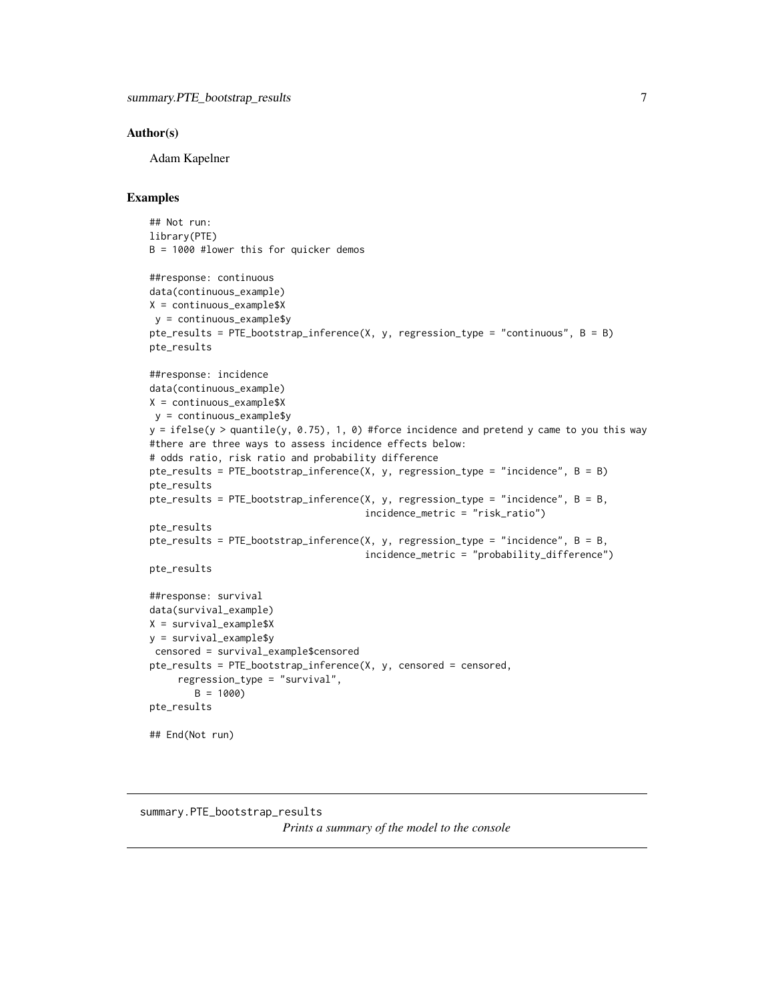# <span id="page-6-0"></span>Author(s)

Adam Kapelner

# Examples

```
## Not run:
library(PTE)
B = 1000 #lower this for quicker demos
##response: continuous
data(continuous_example)
X = continuous_example$X
y = continuous_example$y
pte_results = PTE_bootstrap_inference(X, y, regression_type = "continuous", B = B)
pte_results
##response: incidence
data(continuous_example)
X = continuous_example$X
y = continuous_example$y
y = ifelse(y > quantile(y, 0.75), 1, 0) #force incidence and pretend y came to you this way
#there are three ways to assess incidence effects below:
# odds ratio, risk ratio and probability difference
pte_results = PTE_bootstrap_inference(X, y, regression_type = "incidence", B = B)
pte_results
pte_results = PTE_bootstrap_inference(X, y, regression_type = "incidence", B = B,
                                      incidence_metric = "risk_ratio")
pte_results
pte_results = PTE\_bootstrap\_inference(X, y, regression\_type = "incidence", B = B,incidence_metric = "probability_difference")
pte_results
##response: survival
data(survival_example)
X = survival_example$X
y = survival_example$y
censored = survival_example$censored
pte_results = PTE_bootstrap_inference(X, y, censored = censored,
     regression_type = "survival",
        B = 1000)
pte_results
## End(Not run)
```

```
summary.PTE_bootstrap_results
                         Prints a summary of the model to the console
```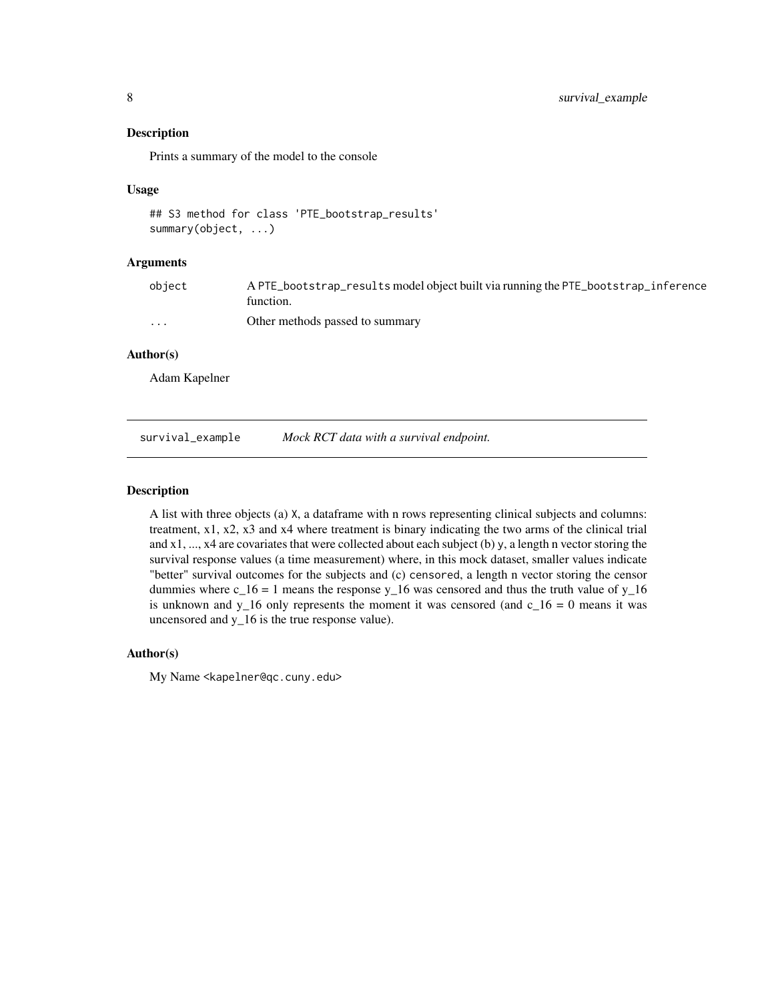# <span id="page-7-0"></span>Description

Prints a summary of the model to the console

#### Usage

```
## S3 method for class 'PTE_bootstrap_results'
summary(object, ...)
```
# Arguments

| obiect   | A PTE_bootstrap_results model object built via running the PTE_bootstrap_inference<br>function. |
|----------|-------------------------------------------------------------------------------------------------|
| $\cdots$ | Other methods passed to summary                                                                 |

# Author(s)

Adam Kapelner

survival\_example *Mock RCT data with a survival endpoint.*

# Description

A list with three objects (a) X, a dataframe with n rows representing clinical subjects and columns: treatment, x1, x2, x3 and x4 where treatment is binary indicating the two arms of the clinical trial and x1, ..., x4 are covariates that were collected about each subject (b) y, a length n vector storing the survival response values (a time measurement) where, in this mock dataset, smaller values indicate "better" survival outcomes for the subjects and (c) censored, a length n vector storing the censor dummies where  $c_1$ 16 = 1 means the response y<sub>1</sub>16 was censored and thus the truth value of y<sub>1</sub>16 is unknown and y\_16 only represents the moment it was censored (and  $c_1 = 0$  means it was uncensored and y\_16 is the true response value).

# Author(s)

My Name <kapelner@qc.cuny.edu>